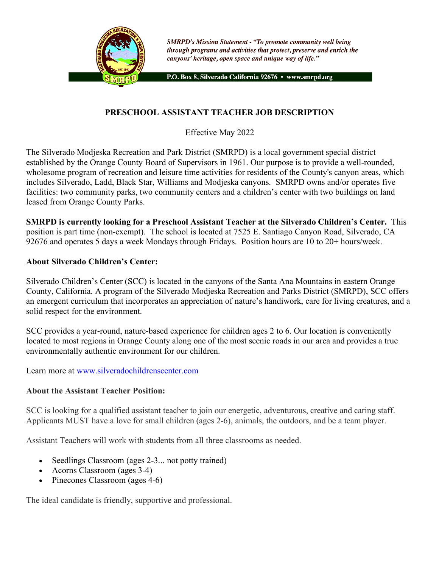

**SMRPD's Mission Statement - "To promote community well being** through programs and activities that protect, preserve and enrich the canyons' heritage, open space and unique way of life."

P.O. Box 8, Silverado California 92676 · www.smrpd.org

## **PRESCHOOL ASSISTANT TEACHER JOB DESCRIPTION**

Effective May 2022

The Silverado Modjeska Recreation and Park District (SMRPD) is a local government special district established by the Orange County Board of Supervisors in 1961. Our purpose is to provide a well-rounded, wholesome program of recreation and leisure time activities for residents of the County's canyon areas, which includes Silverado, Ladd, Black Star, Williams and Modjeska canyons. SMRPD owns and/or operates five facilities: two community parks, two community centers and a children's center with two buildings on land leased from Orange County Parks.

**SMRPD is currently looking for a Preschool Assistant Teacher at the Silverado Children's Center.** This position is part time (non-exempt). The school is located at 7525 E. Santiago Canyon Road, Silverado, CA 92676 and operates 5 days a week Mondays through Fridays. Position hours are 10 to 20+ hours/week.

#### **About Silverado Children's Center:**

Silverado Children's Center (SCC) is located in the canyons of the Santa Ana Mountains in eastern Orange County, California. A program of the Silverado Modjeska Recreation and Parks District (SMRPD), SCC offers an emergent curriculum that incorporates an appreciation of nature's handiwork, care for living creatures, and a solid respect for the environment.

SCC provides a year-round, nature-based experience for children ages 2 to 6. Our location is conveniently located to most regions in Orange County along one of the most scenic roads in our area and provides a true environmentally authentic environment for our children.

Learn more at www.silveradochildrenscenter.com

### **About the Assistant Teacher Position:**

SCC is looking for a qualified assistant teacher to join our energetic, adventurous, creative and caring staff. Applicants MUST have a love for small children (ages 2-6), animals, the outdoors, and be a team player.

Assistant Teachers will work with students from all three classrooms as needed.

- Seedlings Classroom (ages 2-3... not potty trained)
- Acorns Classroom (ages 3-4)
- Pinecones Classroom (ages 4-6)

The ideal candidate is friendly, supportive and professional.